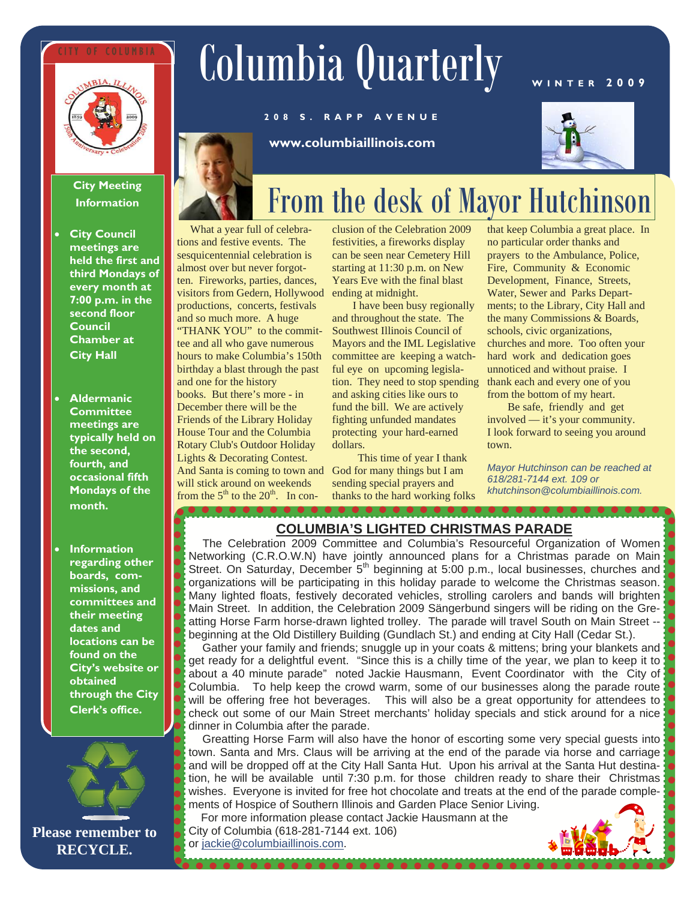## OF COLUMBIA



# Columbia Quarterly

**www.columbiaillinois.com** 

**208 S. RAPP AVENUE** 

## **WINTER 2009**



## **City Meeting Information**

- **City Council meetings are held the first and third Mondays of every month at 7:00 p.m. in the second floor Council Chamber at City Hall**
- **Aldermanic Committee meetings are typically held on the second, fourth, and occasional fifth Mondays of the month.**
- **Information regarding other boards, commissions, and committees and their meeting dates and locations can be found on the City's website or obtained through the City Clerk's office.**



## From the desk of Mayor Hutchinson

What a year full of celebrations and festive events. The sesquicentennial celebration is almost over but never forgotten. Fireworks, parties, dances, visitors from Gedern, Hollywood productions, concerts, festivals and so much more. A huge "THANK YOU" to the committee and all who gave numerous hours to make Columbia's 150th birthday a blast through the past and one for the history books. But there's more - in December there will be the Friends of the Library Holiday House Tour and the Columbia Rotary Club's Outdoor Holiday Lights & Decorating Contest. And Santa is coming to town and will stick around on weekends from the  $5<sup>th</sup>$  to the  $20<sup>th</sup>$ . In con-

 $\bullet$   $\bullet$   $\bullet$   $\bullet$   $\bullet$   $\bullet$   $\bullet$   $\bullet$ 

clusion of the Celebration 2009 festivities, a fireworks display can be seen near Cemetery Hill starting at 11:30 p.m. on New Years Eve with the final blast ending at midnight.

I have been busy regionally and throughout the state. The Southwest Illinois Council of Mayors and the IML Legislative committee are keeping a watchful eye on upcoming legislation. They need to stop spending and asking cities like ours to fund the bill. We are actively fighting unfunded mandates protecting your hard-earned dollars.

This time of year I thank God for many things but I am sending special prayers and thanks to the hard working folks

that keep Columbia a great place. In no particular order thanks and prayers to the Ambulance, Police, Fire, Community & Economic Development, Finance, Streets, Water, Sewer and Parks Departments; to the Library, City Hall and the many Commissions & Boards, schools, civic organizations, churches and more. Too often your hard work and dedication goes unnoticed and without praise. I

> from the bottom of my heart. Be safe, friendly and get involved — it's your community. I look forward to seeing you around town.

thank each and every one of you

*Mayor Hutchinson can be reached at 618/281-7144 ext. 109 or khutchinson@columbiaillinois.com.* 

 $\bullet$   $\bullet$   $\bullet$   $\bullet$   $\bullet$ 

## **COLUMBIA'S LIGHTED CHRISTMAS PARADE**

The Celebration 2009 Committee and Columbia's Resourceful Organization of Women Networking (C.R.O.W.N) have jointly announced plans for a Christmas parade on Main Street. On Saturday, December  $5<sup>th</sup>$  beginning at 5:00 p.m., local businesses, churches and organizations will be participating in this holiday parade to welcome the Christmas season. Many lighted floats, festively decorated vehicles, strolling carolers and bands will brighten Main Street. In addition, the Celebration 2009 Sängerbund singers will be riding on the Greatting Horse Farm horse-drawn lighted trolley. The parade will travel South on Main Street - beginning at the Old Distillery Building (Gundlach St.) and ending at City Hall (Cedar St.).

Gather your family and friends; snuggle up in your coats & mittens; bring your blankets and get ready for a delightful event. "Since this is a chilly time of the year, we plan to keep it to about a 40 minute parade" noted Jackie Hausmann, Event Coordinator with the City of Columbia. To help keep the crowd warm, some of our businesses along the parade route will be offering free hot beverages. This will also be a great opportunity for attendees to check out some of our Main Street merchants' holiday specials and stick around for a nice dinner in Columbia after the parade.

Greatting Horse Farm will also have the honor of escorting some very special guests into town. Santa and Mrs. Claus will be arriving at the end of the parade via horse and carriage and will be dropped off at the City Hall Santa Hut. Upon his arrival at the Santa Hut destination, he will be available until 7:30 p.m. for those children ready to share their Christmas wishes. Everyone is invited for free hot chocolate and treats at the end of the parade complements of Hospice of Southern Illinois and Garden Place Senior Living.

 For more information please contact Jackie Hausmann at the City of Columbia (618-281-7144 ext. 106)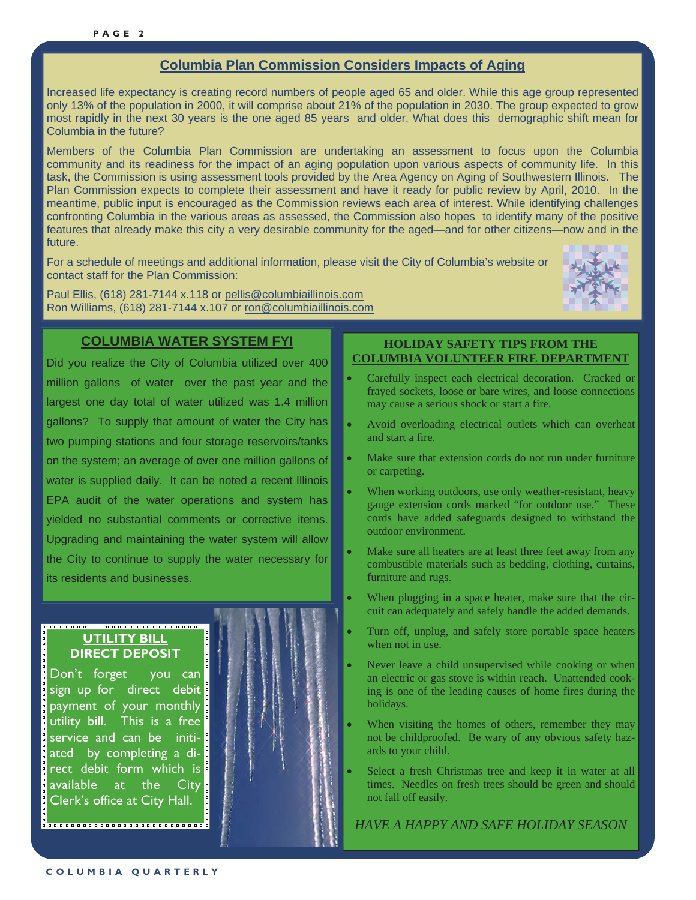## **Columbia Plan Commission Considers Impacts of Aging**

Increased life expectancy is creating record numbers of people aged 65 and older. While this age group represented only 13% of the population in 2000, it will comprise about 21% of the population in 2030. The group expected to grow most rapidly in the next 30 years is the one aged 85 years and older. What does this demographic shift mean for Columbia in the future?

Members of the Columbia Plan Commission are undertaking an assessment to focus upon the Columbia community and its readiness for the impact of an aging population upon various aspects of community life. In this task, the Commission is using assessment tools provided by the Area Agency on Aging of Southwestern Illinois. The Plan Commission expects to complete their assessment and have it ready for public review by April, 2010. In the meantime, public input is encouraged as the Commission reviews each area of interest. While identifying challenges confronting Columbia in the various areas as assessed, the Commission also hopes to identify many of the positive features that already make this city a very desirable community for the aged—and for other citizens—now and in the future.

For a schedule of meetings and additional information, please visit the City of Columbia's website or contact staff for the Plan Commission:

Paul Ellis, (618) 281-7144 x.118 or pellis@columbiaillinois.com Ron Williams, (618) 281-7144 x.107 or ron@columbiaillinois.com



### **COLUMBIA WATER SYSTEM FYI**

Did you realize the City of Columbia utilized over 400 million gallons of water over the past year and the largest one day total of water utilized was 1.4 million gallons? To supply that amount of water the City has two pumping stations and four storage reservoirs/tanks on the system; an average of over one million gallons of water is supplied daily. It can be noted a recent Illinois EPA audit of the water operations and system has yielded no substantial comments or corrective items. Upgrading and maintaining the water system will allow the City to continue to supply the water necessary for its residents and businesses.

#### **UTILITY BILL DIRECT DEPOSIT**

Don't forget you can sign up for direct debit payment of your monthly utility bill. This is a free service and can be initiated by completing a direct debit form which is available at the City Clerk's office at City Hall.

### **HOLIDAY SAFETY TIPS FROM THE COLUMBIA VOLUNTEER FIRE DEPARTMENT**

- Carefully inspect each electrical decoration. Cracked or frayed sockets, loose or bare wires, and loose connections may cause a serious shock or start a fire.
- Avoid overloading electrical outlets which can overheat and start a fire.
- Make sure that extension cords do not run under furniture or carpeting.
- When working outdoors, use only weather-resistant, heavy gauge extension cords marked "for outdoor use." These cords have added safeguards designed to withstand the outdoor environment.
- Make sure all heaters are at least three feet away from any combustible materials such as bedding, clothing, curtains, furniture and rugs.
- When plugging in a space heater, make sure that the circuit can adequately and safely handle the added demands.
- Turn off, unplug, and safely store portable space heaters when not in use.
- Never leave a child unsupervised while cooking or when an electric or gas stove is within reach. Unattended cooking is one of the leading causes of home fires during the holidays.
- When visiting the homes of others, remember they may not be childproofed. Be wary of any obvious safety hazards to your child.
- Select a fresh Christmas tree and keep it in water at all times. Needles on fresh trees should be green and should not fall off easily.

*HAVE A HAPPY AND SAFE HOLIDAY SEASON*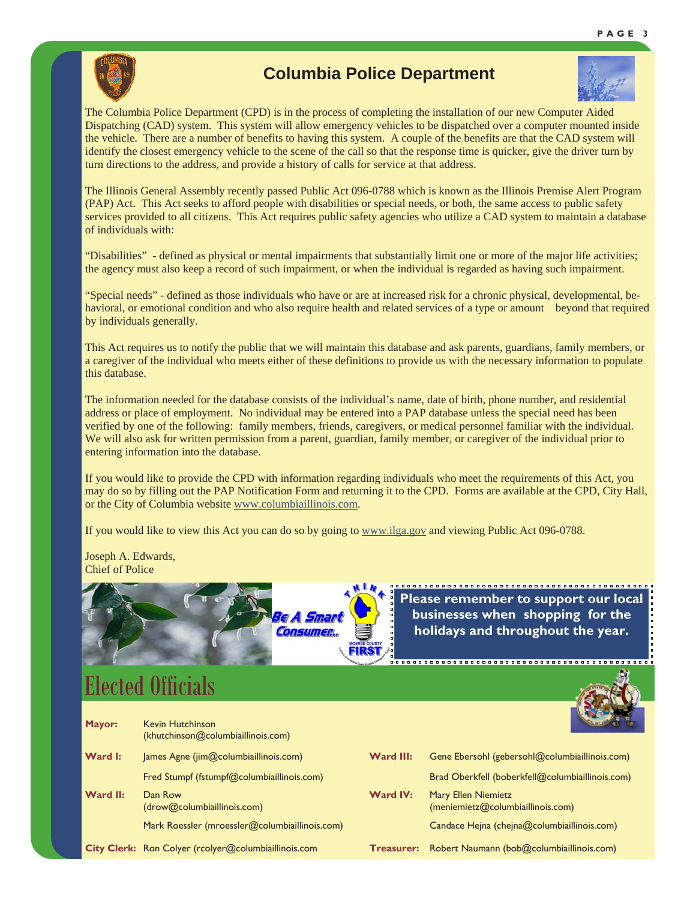

## **Columbia Police Department**



The Columbia Police Department (CPD) is in the process of completing the installation of our new Computer Aided Dispatching (CAD) system. This system will allow emergency vehicles to be dispatched over a computer mounted inside the vehicle. There are a number of benefits to having this system. A couple of the benefits are that the CAD system will identify the closest emergency vehicle to the scene of the call so that the response time is quicker, give the driver turn by turn directions to the address, and provide a history of calls for service at that address.

The Illinois General Assembly recently passed Public Act 096-0788 which is known as the Illinois Premise Alert Program (PAP) Act. This Act seeks to afford people with disabilities or special needs, or both, the same access to public safety services provided to all citizens. This Act requires public safety agencies who utilize a CAD system to maintain a database of individuals with:

"Disabilities" - defined as physical or mental impairments that substantially limit one or more of the major life activities; the agency must also keep a record of such impairment, or when the individual is regarded as having such impairment.

"Special needs" - defined as those individuals who have or are at increased risk for a chronic physical, developmental, behavioral, or emotional condition and who also require health and related services of a type or amount beyond that required by individuals generally.

This Act requires us to notify the public that we will maintain this database and ask parents, guardians, family members, or a caregiver of the individual who meets either of these definitions to provide us with the necessary information to populate this database.

The information needed for the database consists of the individual's name, date of birth, phone number, and residential address or place of employment. No individual may be entered into a PAP database unless the special need has been verified by one of the following: family members, friends, caregivers, or medical personnel familiar with the individual. We will also ask for written permission from a parent, guardian, family member, or caregiver of the individual prior to entering information into the database.

If you would like to provide the CPD with information regarding individuals who meet the requirements of this Act, you may do so by filling out the PAP Notification Form and returning it to the CPD. Forms are available at the CPD, City Hall, or the City of Columbia website www.columbiaillinois.com.

If you would like to view this Act you can do so by going to www.ilga.gov and viewing Public Act 096-0788.

Joseph A. Edwards, Chief of Police



**Please remember to support our local businesses when shopping for the holidays and throughout the year.** 

,,,,,,,,,,,,,,,,,,,,,,,,,,,,,,,,,,,,,

## *Visit www.columbiaillinois.com/ward map or stop by the City Clerk's office to obtain a copy of the City ward map!*  Elected Officials